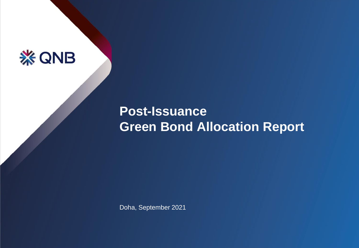

# **Post-Issuance Green Bond Allocation Report**

Doha, September 2021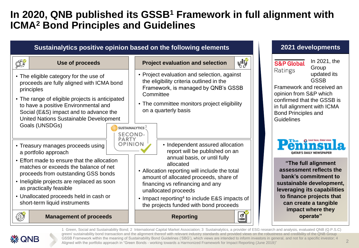## **In 2020, QNB published its GSSB<sup>1</sup> Framework in full alignment with ICMA<sup>2</sup> Bond Principles and Guidelines**



GSSB Framework within the meaning of Sustainability Bond Guidelines ('SBG'), which views are intended to inform investors in general, and not for a specific investor; 4 Aligned with the portfolio approach in "Green Bonds - working towards a Harmonized Framework for Impact Reporting (June 2019)"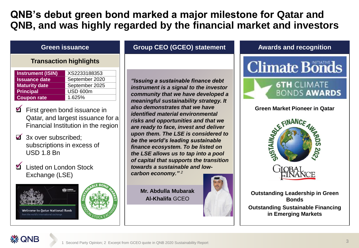## **QNB's debut green bond marked a major milestone for Qatar and QNB, and was highly regarded by the financial market and investors**

### **Transaction highlights**

| <b>Instrument (ISIN)</b> | XS2233188353    |
|--------------------------|-----------------|
| <b>Issuance date</b>     | September 2020  |
| <b>Maturity date</b>     | September 2025  |
| <b>Principal</b>         | <b>USD 600m</b> |
| <b>Coupon rate</b>       | 1.625%          |

- **M**  First green bond issuance in Qatar, and largest issuance for a Financial Institution in the region
- $\triangledown$  3x over subscribed; subscriptions in excess of USD 1.8 Bn
- Listed on London Stock Exchange (LSE)



**Welcome to Qatar National Bank** 

### **Green issuance Group CEO (GCEO) statement**

*"Issuing a sustainable finance debt instrument is a signal to the investor community that we have developed a meaningful sustainability strategy. It also demonstrates that we have identified material environmental risks and opportunities and that we are ready to face, invest and deliver upon them. The LSE is considered to be the world's leading sustainable finance ecosystem. To be listed on the LSE allows us to tap into a pool of capital that supports the transition towards a sustainable and lowcarbon economy." <sup>2</sup>*

**Mr. Abdulla Mubarak Al-Khalifa** GCEO

### **Awards and recognition**



### **Green Market Pioneer in Qatar**





**Outstanding Leadership in Green Bonds Outstanding Sustainable Financing in Emerging Markets** 

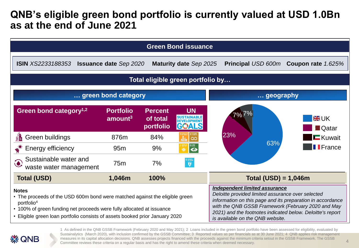## **QNB's eligible green bond portfolio is currently valued at USD 1.0Bn as at the end of June 2021**



**⋇ QNB** 

1 As defined in the QNB GSSB Framework (February 2020 and May 2021); 2 Loans included in the green bond portfolio have been assessed for eligibility, evaluated by Sustainalytics (March 2020), with inclusion confirmed by the GSSB Committee; 3 Reported values as per financials as at 30 June 2021; 4 QNB applies risk management measures in its capital allocation decisions. QNB assesses projects financed with the proceeds against the minimum criteria setout in the GSSB Framework. The GSSB Committee reviews these criteria on a regular basis and has the right to amend these criteria when deemed necessary.